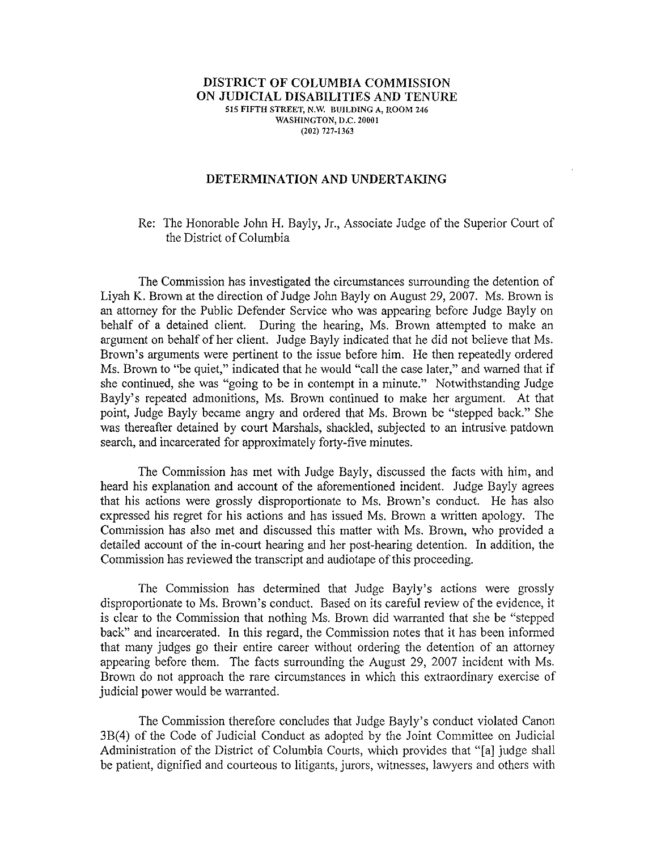## **DISTRICT OF COLUMBIA COMMISSION ON JUDICIAL DISABILITIES AND TENURE** 515 **FIFTH** STREET, N.W. BUILDING A, ROOM 246 WASHINGTON, D.C. 20001 (202) 727-1363

## **DETERMINATION AND UNDERTAKING**

## Re: The Honorable John H. Bayly, Jr., Associate Judge of the Superior Court of the District of Columbia

The Commission has investigated the circumstances surrounding the detention of Liyah K. Brown at the direction of Judge John Bayly on August 29, 2007. Ms. Brown is an attorney for the Public Defender Service who was appearing before Judge Bayly on behalf of a detained client. During the hearing, Ms. Brown attempted to make an argument on behalf of her client. Judge Bayly indicated that he did not believe that Ms. Brown's arguments were pertinent to the issue before him. He then repeatedly ordered Ms. Brown to "be quiet," indicated that he would "call the case later," and warned that if she continued, she was "going to be in contempt in a minute." Notwithstanding Judge Bayly's repeated admonitions, Ms. Brown continued to make her argument. At that point, Judge Bayly became angry and ordered that Ms. Brown be "stepped back." She was thereafter detained by court Marshals, shackled, subjected to an intrusive patdown search, and incarcerated for approximately forty-five minutes.

The Commission has met with Judge Bayly, discussed the facts with him, and heard his explanation and account of the aforementioned incident. Judge Bayly agrees that his actions were grossly disproportionate to Ms. Brown's conduct. He has also expressed his regret for his actions and has issued Ms. Brown a written apology. The Commission has also met and discussed this matter with Ms. Brown, who provided a detailed account of the in-court hearing and her post-hearing detention. In addition, the Commission has reviewed the transcript and audiotape of this proceeding.

The Commission has determined that Judge Bayly's actions were grossly disproportionate to Ms. Brown's conduct. Based on its careful review of the evidence, it is clear to the Commission that nothing Ms. Brown did warranted that she be "stepped back" and incarcerated. In this regard, the Commission notes that it has been informed that many judges go their entire career without ordering the detention of an attorney appearing before them. The facts surrounding the August 29, 2007 incident with Ms. Brown do not approach the rare circumstances in which this extraordinary exercise of judicial power would be warranted.

The Commission therefore concludes that Judge Bayly's conduct violated Canon 3B(4) of the Code of Judicial Conduct as adopted by the Joint Committee on Judicial Administration of the District of Columbia Courts, which provides that "[a] judge shall be patient, dignified and courteous to litigants, jurors, witnesses, lawyers and others with